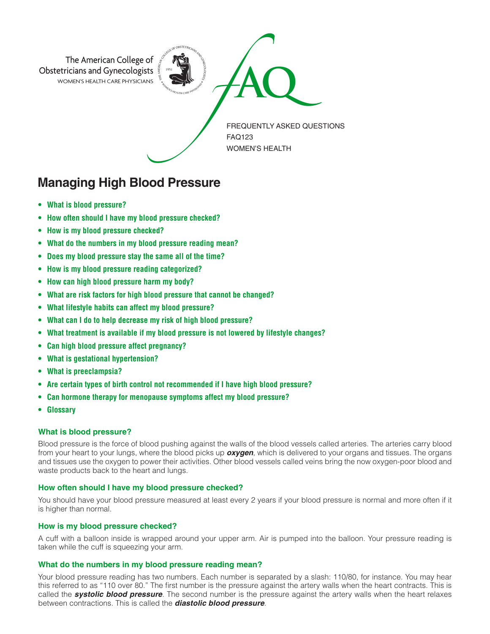

# **Managing High Blood Pressure**

- **• What is blood pressure?**
- **How often should I have my blood pressure checked?**
- **How is my blood pressure checked?**
- **What do the numbers in my blood pressure reading mean?**
- **Does my blood pressure stay the same all of the time?**
- **How is my blood pressure reading categorized?**
- **How can high blood pressure harm my body?**
- **What are risk factors for high blood pressure that cannot be changed?**
- **What lifestyle habits can affect my blood pressure?**
- **What can I do to help decrease my risk of high blood pressure?**
- **What treatment is available if my blood pressure is not lowered by lifestyle changes?**
- **Can high blood pressure affect pregnancy?**
- **What is gestational hypertension?**
- **What is preeclampsia?**
- **Are certain types of birth control not recommended if I have high blood pressure?**
- **Can hormone therapy for menopause symptoms affect my blood pressure?**
- **Glossary**

## **What is blood pressure?**

Blood pressure is the force of blood pushing against the walls of the blood vessels called arteries. The arteries carry blood from your heart to your lungs, where the blood picks up *oxygen*, which is delivered to your organs and tissues. The organs and tissues use the oxygen to power their activities. Other blood vessels called veins bring the now oxygen-poor blood and waste products back to the heart and lungs.

## **How often should I have my blood pressure checked?**

You should have your blood pressure measured at least every 2 years if your blood pressure is normal and more often if it is higher than normal.

## **How is my blood pressure checked?**

A cuff with a balloon inside is wrapped around your upper arm. Air is pumped into the balloon. Your pressure reading is taken while the cuff is squeezing your arm.

## **What do the numbers in my blood pressure reading mean?**

Your blood pressure reading has two numbers. Each number is separated by a slash: 110/80, for instance. You may hear this referred to as "110 over 80." The first number is the pressure against the artery walls when the heart contracts. This is called the *systolic blood pressure*. The second number is the pressure against the artery walls when the heart relaxes between contractions. This is called the *diastolic blood pressure*.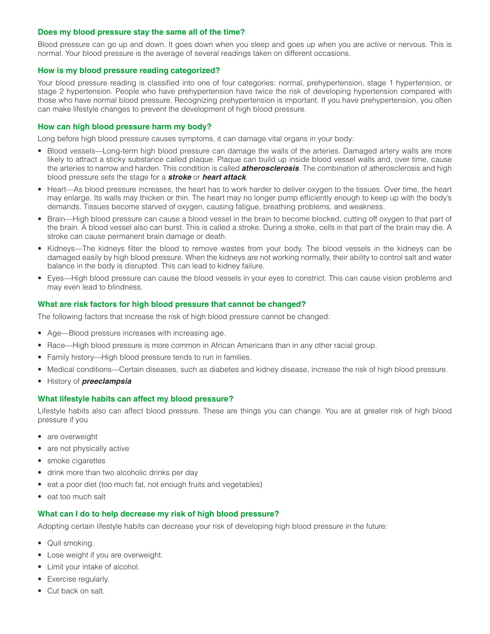#### **Does my blood pressure stay the same all of the time?**

Blood pressure can go up and down. It goes down when you sleep and goes up when you are active or nervous. This is normal. Your blood pressure is the average of several readings taken on different occasions.

### **How is my blood pressure reading categorized?**

Your blood pressure reading is classified into one of four categories: normal, prehypertension, stage 1 hypertension, or stage 2 hypertension. People who have prehypertension have twice the risk of developing hypertension compared with those who have normal blood pressure. Recognizing prehypertension is important. If you have prehypertension, you often can make lifestyle changes to prevent the development of high blood pressure.

### **How can high blood pressure harm my body?**

Long before high blood pressure causes symptoms, it can damage vital organs in your body:

- Blood vessels—Long-term high blood pressure can damage the walls of the arteries. Damaged artery walls are more likely to attract a sticky substance called plaque. Plaque can build up inside blood vessel walls and, over time, cause the arteries to narrow and harden. This condition is called *atherosclerosis*. The combination of atherosclerosis and high blood pressure sets the stage for a *stroke* or *heart attack*.
- Heart—As blood pressure increases, the heart has to work harder to deliver oxygen to the tissues. Over time, the heart may enlarge. Its walls may thicken or thin. The heart may no longer pump efficiently enough to keep up with the body's demands. Tissues become starved of oxygen, causing fatigue, breathing problems, and weakness.
- Brain—High blood pressure can cause a blood vessel in the brain to become blocked, cutting off oxygen to that part of the brain. A blood vessel also can burst. This is called a stroke. During a stroke, cells in that part of the brain may die. A stroke can cause permanent brain damage or death.
- Kidneys—The kidneys filter the blood to remove wastes from your body. The blood vessels in the kidneys can be damaged easily by high blood pressure. When the kidneys are not working normally, their ability to control salt and water balance in the body is disrupted. This can lead to kidney failure.
- Eyes—High blood pressure can cause the blood vessels in your eyes to constrict. This can cause vision problems and may even lead to blindness.

#### **What are risk factors for high blood pressure that cannot be changed?**

The following factors that increase the risk of high blood pressure cannot be changed:

- Age—Blood pressure increases with increasing age.
- Race—High blood pressure is more common in African Americans than in any other racial group.
- Family history—High blood pressure tends to run in families.
- Medical conditions—Certain diseases, such as diabetes and kidney disease, increase the risk of high blood pressure.
- History of *preeclampsia*

#### **What lifestyle habits can affect my blood pressure?**

Lifestyle habits also can affect blood pressure. These are things you can change. You are at greater risk of high blood pressure if you

- are overweight
- are not physically active
- smoke cigarettes
- drink more than two alcoholic drinks per day
- eat a poor diet (too much fat, not enough fruits and vegetables)
- eat too much salt

### **What can I do to help decrease my risk of high blood pressure?**

Adopting certain lifestyle habits can decrease your risk of developing high blood pressure in the future:

- Quit smoking.
- Lose weight if you are overweight.
- Limit your intake of alcohol.
- Exercise regularly.
- Cut back on salt.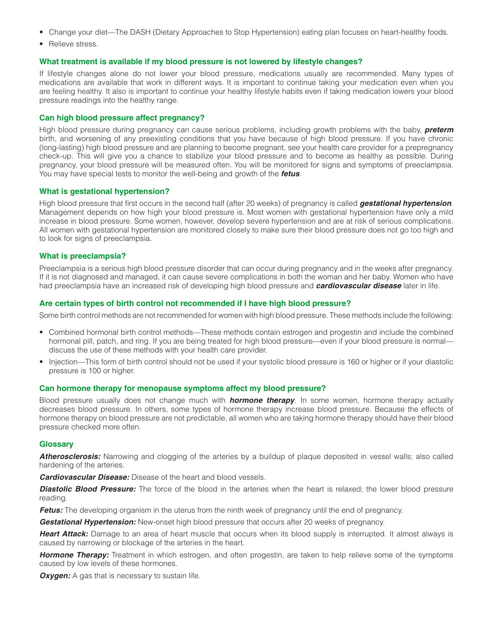- Change your diet—The DASH (Dietary Approaches to Stop Hypertension) eating plan focuses on heart-healthy foods.
- Relieve stress.

### **What treatment is available if my blood pressure is not lowered by lifestyle changes?**

If lifestyle changes alone do not lower your blood pressure, medications usually are recommended. Many types of medications are available that work in different ways. It is important to continue taking your medication even when you are feeling healthy. It also is important to continue your healthy lifestyle habits even if taking medication lowers your blood pressure readings into the healthy range.

## **Can high blood pressure affect pregnancy?**

High blood pressure during pregnancy can cause serious problems, including growth problems with the baby, *preterm* birth, and worsening of any preexisting conditions that you have because of high blood pressure. If you have chronic (long-lasting) high blood pressure and are planning to become pregnant, see your health care provider for a prepregnancy check-up. This will give you a chance to stabilize your blood pressure and to become as healthy as possible. During pregnancy, your blood pressure will be measured often. You will be monitored for signs and symptoms of preeclampsia. You may have special tests to monitor the well-being and growth of the *fetus*.

## **What is gestational hypertension?**

High blood pressure that first occurs in the second half (after 20 weeks) of pregnancy is called *gestational hypertension*. Management depends on how high your blood pressure is. Most women with gestational hypertension have only a mild increase in blood pressure. Some women, however, develop severe hypertension and are at risk of serious complications. All women with gestational hypertension are monitored closely to make sure their blood pressure does not go too high and to look for signs of preeclampsia.

## **What is preeclampsia?**

Preeclampsia is a serious high blood pressure disorder that can occur during pregnancy and in the weeks after pregnancy. If it is not diagnosed and managed, it can cause severe complications in both the woman and her baby. Women who have had preeclampsia have an increased risk of developing high blood pressure and *cardiovascular disease* later in life.

## **Are certain types of birth control not recommended if I have high blood pressure?**

Some birth control methods are not recommended for women with high blood pressure. These methods include the following:

- Combined hormonal birth control methods—These methods contain estrogen and progestin and include the combined hormonal pill, patch, and ring. If you are being treated for high blood pressure—even if your blood pressure is normal discuss the use of these methods with your health care provider.
- Injection—This form of birth control should not be used if your systolic blood pressure is 160 or higher or if your diastolic pressure is 100 or higher.

## **Can hormone therapy for menopause symptoms affect my blood pressure?**

Blood pressure usually does not change much with *hormone therapy*. In some women, hormone therapy actually decreases blood pressure. In others, some types of hormone therapy increase blood pressure. Because the effects of hormone therapy on blood pressure are not predictable, all women who are taking hormone therapy should have their blood pressure checked more often.

## **Glossary**

*Atherosclerosis:* Narrowing and clogging of the arteries by a buildup of plaque deposited in vessel walls; also called hardening of the arteries.

*Cardiovascular Disease:* Disease of the heart and blood vessels.

**Diastolic Blood Pressure:** The force of the blood in the arteries when the heart is relaxed; the lower blood pressure reading.

*Fetus:* The developing organism in the uterus from the ninth week of pregnancy until the end of pregnancy.

*Gestational Hypertension:* New-onset high blood pressure that occurs after 20 weeks of pregnancy.

*Heart Attack:* Damage to an area of heart muscle that occurs when its blood supply is interrupted. It almost always is caused by narrowing or blockage of the arteries in the heart.

*Hormone Therapy:* Treatment in which estrogen, and often progestin, are taken to help relieve some of the symptoms caused by low levels of these hormones.

**Oxygen:** A gas that is necessary to sustain life.